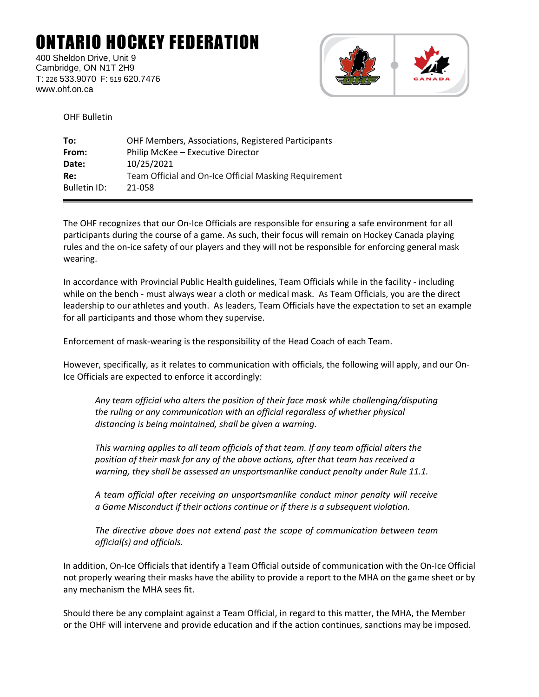## ONTARIO HOCKEY FEDERATION

400 Sheldon Drive, Unit 9 Cambridge, ON N1T 2H9 T: 226 533.9070 F: 519 620.7476 www.ohf.on.ca



OHF Bulletin

| OHF Members, Associations, Registered Participants    |
|-------------------------------------------------------|
| Philip McKee - Executive Director                     |
| 10/25/2021                                            |
| Team Official and On-Ice Official Masking Requirement |
| 21-058                                                |
|                                                       |

The OHF recognizes that our On-Ice Officials are responsible for ensuring a safe environment for all participants during the course of a game. As such, their focus will remain on Hockey Canada playing rules and the on-ice safety of our players and they will not be responsible for enforcing general mask wearing.

In accordance with Provincial Public Health guidelines, Team Officials while in the facility - including while on the bench - must always wear a cloth or medical mask. As Team Officials, you are the direct leadership to our athletes and youth. As leaders, Team Officials have the expectation to set an example for all participants and those whom they supervise.

Enforcement of mask-wearing is the responsibility of the Head Coach of each Team.  

However, specifically, as it relates to communication with officials, the following will apply, and our On-Ice Officials are expected to enforce it accordingly:

*Any team official who alters the position of their face mask while challenging/disputing the ruling or any communication with an official regardless of whether physical distancing is being maintained, shall be given a warning.*

*This warning applies to all team officials of that team. If any team official alters the position of their mask for any of the above actions, after that team has received a warning, they shall be assessed an unsportsmanlike conduct penalty under Rule 11.1.*

*A team official after receiving an unsportsmanlike conduct minor penalty will receive a Game Misconduct if their actions continue or if there is a subsequent violation.*

*The directive above does not extend past the scope of communication between team official(s) and officials.*

In addition, On-Ice Officials that identify a Team Official outside of communication with the On-Ice Official not properly wearing their masks have the ability to provide a report to the MHA on the game sheet or by any mechanism the MHA sees fit.

Should there be any complaint against a Team Official, in regard to this matter, the MHA, the Member or the OHF will intervene and provide education and if the action continues, sanctions may be imposed.